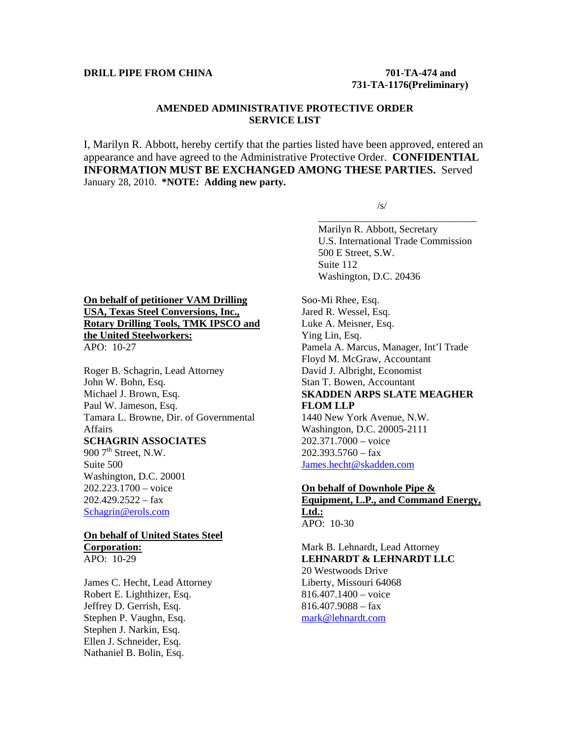#### **DRILL PIPE FROM CHINA** 701-TA-474 and

# **731-TA-1176(Preliminary)**

### **AMENDED ADMINISTRATIVE PROTECTIVE ORDER SERVICE LIST**

I, Marilyn R. Abbott, hereby certify that the parties listed have been approved, entered an appearance and have agreed to the Administrative Protective Order. **CONFIDENTIAL INFORMATION MUST BE EXCHANGED AMONG THESE PARTIES.** Served January 28, 2010. **\*NOTE: Adding new party.** 

 $\overline{\phantom{a}}$  , and the contract of the contract of the contract of the contract of the contract of the contract of the contract of the contract of the contract of the contract of the contract of the contract of the contrac

 $\sqrt{s}$ /s/

 Marilyn R. Abbott, Secretary U.S. International Trade Commission 500 E Street, S.W. Suite 112 Washington, D.C. 20436

### **On behalf of petitioner VAM Drilling USA, Texas Steel Conversions, Inc., Rotary Drilling Tools, TMK IPSCO and the United Steelworkers:** APO: 10-27

Roger B. Schagrin, Lead Attorney John W. Bohn, Esq. Michael J. Brown, Esq. Paul W. Jameson, Esq. Tamara L. Browne, Dir. of Governmental Affairs **SCHAGRIN ASSOCIATES** 900  $7<sup>th</sup>$  Street, N.W.

Suite 500 Washington, D.C. 20001 202.223.1700 – voice  $202.429.2522 - fax$ Schagrin@erols.com

## **On behalf of United States Steel Corporation:**

APO: 10-29

James C. Hecht, Lead Attorney Robert E. Lighthizer, Esq. Jeffrey D. Gerrish, Esq. Stephen P. Vaughn, Esq. Stephen J. Narkin, Esq. Ellen J. Schneider, Esq. Nathaniel B. Bolin, Esq.

Soo-Mi Rhee, Esq. Jared R. Wessel, Esq. Luke A. Meisner, Esq. Ying Lin, Esq. Pamela A. Marcus, Manager, Int'l Trade Floyd M. McGraw, Accountant David J. Albright, Economist Stan T. Bowen, Accountant **SKADDEN ARPS SLATE MEAGHER FLOM LLP** 1440 New York Avenue, N.W. Washington, D.C. 20005-2111

202.371.7000 – voice  $202.393.5760 - f$ ax James.hecht@skadden.com

#### **On behalf of Downhole Pipe & Equipment, L.P., and Command Energy, Ltd.:** APO: 10-30

Mark B. Lehnardt, Lead Attorney **LEHNARDT & LEHNARDT LLC** 20 Westwoods Drive Liberty, Missouri 64068 816.407.1400 – voice  $816.407.9088 - fax$ mark@lehnardt.com